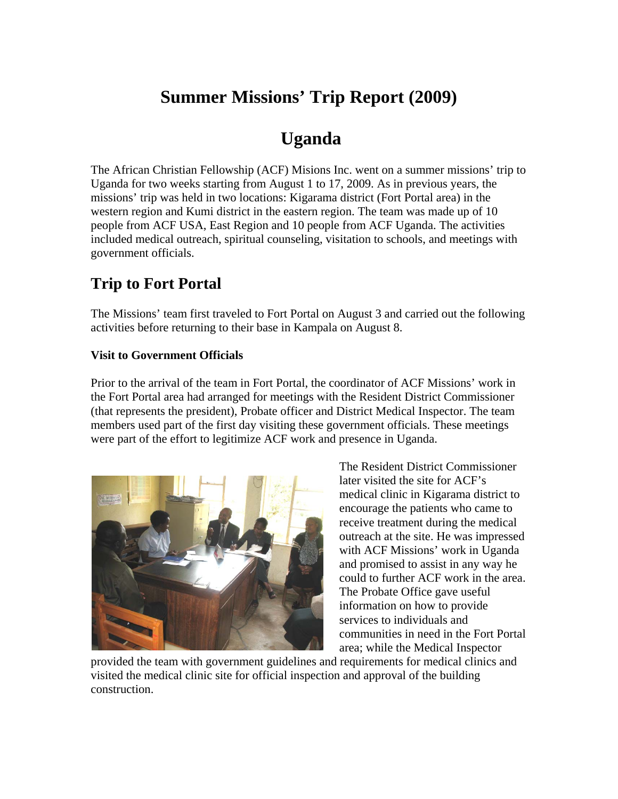# **Summer Missions' Trip Report (2009)**

## **Uganda**

The African Christian Fellowship (ACF) Misions Inc. went on a summer missions' trip to Uganda for two weeks starting from August 1 to 17, 2009. As in previous years, the missions' trip was held in two locations: Kigarama district (Fort Portal area) in the western region and Kumi district in the eastern region. The team was made up of 10 people from ACF USA, East Region and 10 people from ACF Uganda. The activities included medical outreach, spiritual counseling, visitation to schools, and meetings with government officials.

## **Trip to Fort Portal**

The Missions' team first traveled to Fort Portal on August 3 and carried out the following activities before returning to their base in Kampala on August 8.

### **Visit to Government Officials**

Prior to the arrival of the team in Fort Portal, the coordinator of ACF Missions' work in the Fort Portal area had arranged for meetings with the Resident District Commissioner (that represents the president), Probate officer and District Medical Inspector. The team members used part of the first day visiting these government officials. These meetings were part of the effort to legitimize ACF work and presence in Uganda.



The Resident District Commissioner later visited the site for ACF's medical clinic in Kigarama district to encourage the patients who came to receive treatment during the medical outreach at the site. He was impressed with ACF Missions' work in Uganda and promised to assist in any way he could to further ACF work in the area. The Probate Office gave useful information on how to provide services to individuals and communities in need in the Fort Portal area; while the Medical Inspector

provided the team with government guidelines and requirements for medical clinics and visited the medical clinic site for official inspection and approval of the building construction.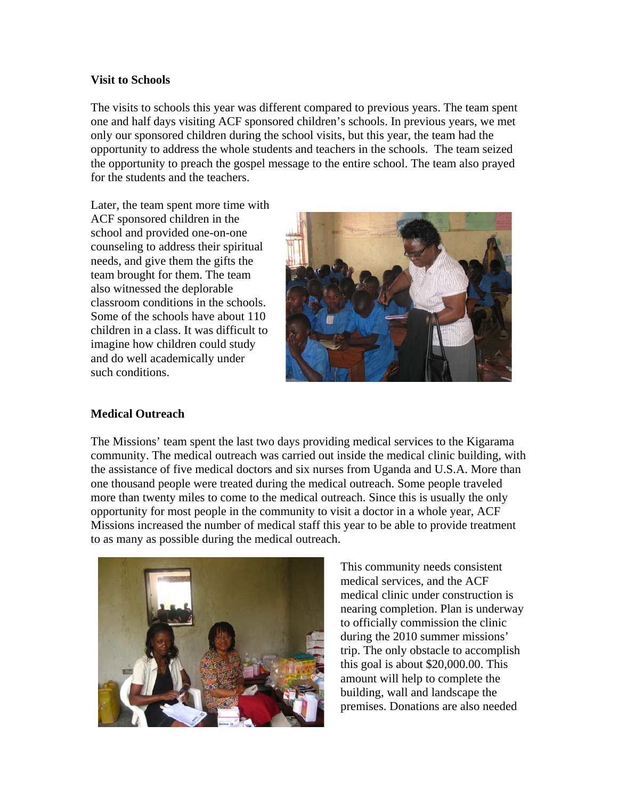#### **Visit to Schools**

The visits to schools this year was different compared to previous years. The team spent one and half days visiting ACF sponsored children's schools. In previous years, we met only our sponsored children during the school visits, but this year, the team had the opportunity to address the whole students and teachers in the schools. The team seized the opportunity to preach the gospel message to the entire school. The team also prayed for the students and the teachers.

Later, the team spent more time with ACF sponsored children in the school and provided one-on-one counseling to address their spiritual needs, and give them the gifts the team brought for them. The team also witnessed the deplorable classroom conditions in the schools. Some of the schools have about 110 children in a class. It was difficult to imagine how children could study and do well academically under such conditions.



### **Medical Outreach**

The Missions' team spent the last two days providing medical services to the Kigarama community. The medical outreach was carried out inside the medical clinic building, with the assistance of five medical doctors and six nurses from Uganda and U.S.A. More than one thousand people were treated during the medical outreach. Some people traveled more than twenty miles to come to the medical outreach. Since this is usually the only opportunity for most people in the community to visit a doctor in a whole year, ACF Missions increased the number of medical staff this year to be able to provide treatment to as many as possible during the medical outreach.



This community needs consistent medical services, and the ACF medical clinic under construction is nearing completion. Plan is underway to officially commission the clinic during the 2010 summer missions' trip. The only obstacle to accomplish this goal is about \$20,000.00. This amount will help to complete the building, wall and landscape the premises. Donations are also needed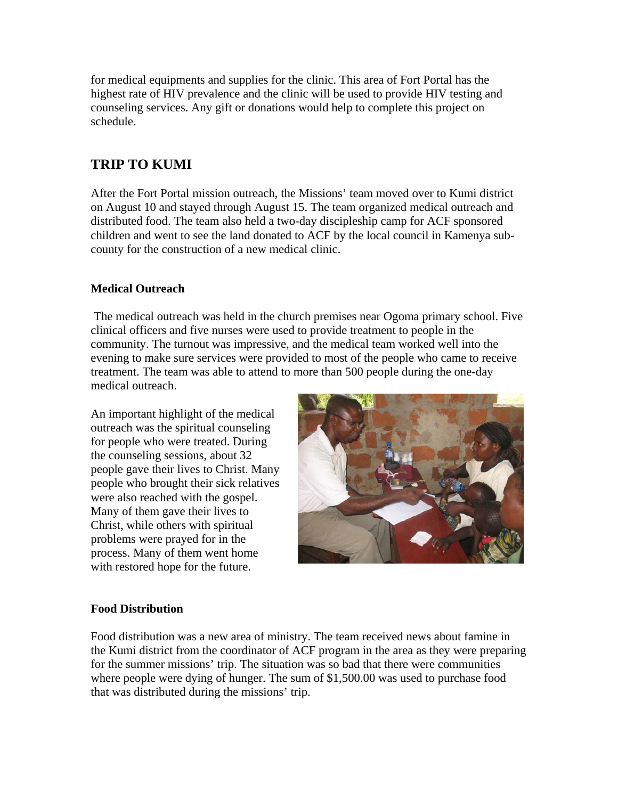for medical equipments and supplies for the clinic. This area of Fort Portal has the highest rate of HIV prevalence and the clinic will be used to provide HIV testing and counseling services. Any gift or donations would help to complete this project on schedule.

## **TRIP TO KUMI**

After the Fort Portal mission outreach, the Missions' team moved over to Kumi district on August 10 and stayed through August 15. The team organized medical outreach and distributed food. The team also held a two-day discipleship camp for ACF sponsored children and went to see the land donated to ACF by the local council in Kamenya subcounty for the construction of a new medical clinic.

### **Medical Outreach**

 The medical outreach was held in the church premises near Ogoma primary school. Five clinical officers and five nurses were used to provide treatment to people in the community. The turnout was impressive, and the medical team worked well into the evening to make sure services were provided to most of the people who came to receive treatment. The team was able to attend to more than 500 people during the one-day medical outreach.

An important highlight of the medical outreach was the spiritual counseling for people who were treated. During the counseling sessions, about 32 people gave their lives to Christ. Many people who brought their sick relatives were also reached with the gospel. Many of them gave their lives to Christ, while others with spiritual problems were prayed for in the process. Many of them went home with restored hope for the future.



### **Food Distribution**

Food distribution was a new area of ministry. The team received news about famine in the Kumi district from the coordinator of ACF program in the area as they were preparing for the summer missions' trip. The situation was so bad that there were communities where people were dying of hunger. The sum of \$1,500.00 was used to purchase food that was distributed during the missions' trip.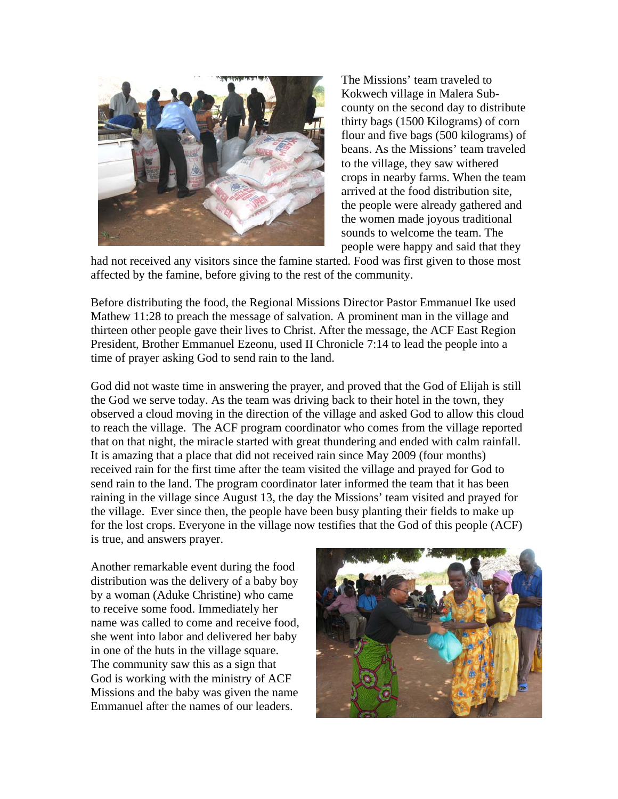

The Missions' team traveled to Kokwech village in Malera Subcounty on the second day to distribute thirty bags (1500 Kilograms) of corn flour and five bags (500 kilograms) of beans. As the Missions' team traveled to the village, they saw withered crops in nearby farms. When the team arrived at the food distribution site, the people were already gathered and the women made joyous traditional sounds to welcome the team. The people were happy and said that they

had not received any visitors since the famine started. Food was first given to those most affected by the famine, before giving to the rest of the community.

Before distributing the food, the Regional Missions Director Pastor Emmanuel Ike used Mathew 11:28 to preach the message of salvation. A prominent man in the village and thirteen other people gave their lives to Christ. After the message, the ACF East Region President, Brother Emmanuel Ezeonu, used II Chronicle 7:14 to lead the people into a time of prayer asking God to send rain to the land.

God did not waste time in answering the prayer, and proved that the God of Elijah is still the God we serve today. As the team was driving back to their hotel in the town, they observed a cloud moving in the direction of the village and asked God to allow this cloud to reach the village. The ACF program coordinator who comes from the village reported that on that night, the miracle started with great thundering and ended with calm rainfall. It is amazing that a place that did not received rain since May 2009 (four months) received rain for the first time after the team visited the village and prayed for God to send rain to the land. The program coordinator later informed the team that it has been raining in the village since August 13, the day the Missions' team visited and prayed for the village. Ever since then, the people have been busy planting their fields to make up for the lost crops. Everyone in the village now testifies that the God of this people (ACF) is true, and answers prayer.

Another remarkable event during the food distribution was the delivery of a baby boy by a woman (Aduke Christine) who came to receive some food. Immediately her name was called to come and receive food, she went into labor and delivered her baby in one of the huts in the village square. The community saw this as a sign that God is working with the ministry of ACF Missions and the baby was given the name Emmanuel after the names of our leaders.